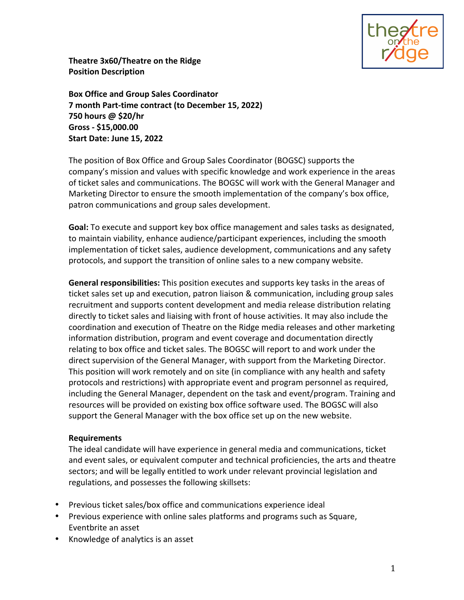

**Theatre 3x60/Theatre on the Ridge Position Description**

**Box Office and Group Sales Coordinator 7 month Part-time contract (to December 15, 2022) 750 hours @ \$20/hr Gross - \$15,000.00 Start Date: June 15, 2022**

The position of Box Office and Group Sales Coordinator (BOGSC) supports the company's mission and values with specific knowledge and work experience in the areas of ticket sales and communications. The BOGSC will work with the General Manager and Marketing Director to ensure the smooth implementation of the company's box office, patron communications and group sales development.

**Goal:** To execute and support key box office management and sales tasks as designated, to maintain viability, enhance audience/participant experiences, including the smooth implementation of ticket sales, audience development, communications and any safety protocols, and support the transition of online sales to a new company website.

**General responsibilities:** This position executes and supports key tasks in the areas of ticket sales set up and execution, patron liaison & communication, including group sales recruitment and supports content development and media release distribution relating directly to ticket sales and liaising with front of house activities. It may also include the coordination and execution of Theatre on the Ridge media releases and other marketing information distribution, program and event coverage and documentation directly relating to box office and ticket sales. The BOGSC will report to and work under the direct supervision of the General Manager, with support from the Marketing Director. This position will work remotely and on site (in compliance with any health and safety protocols and restrictions) with appropriate event and program personnel as required, including the General Manager, dependent on the task and event/program. Training and resources will be provided on existing box office software used. The BOGSC will also support the General Manager with the box office set up on the new website.

## **Requirements**

The ideal candidate will have experience in general media and communications, ticket and event sales, or equivalent computer and technical proficiencies, the arts and theatre sectors; and will be legally entitled to work under relevant provincial legislation and regulations, and possesses the following skillsets:

- Previous ticket sales/box office and communications experience ideal
- Previous experience with online sales platforms and programs such as Square, Eventbrite an asset
- Knowledge of analytics is an asset